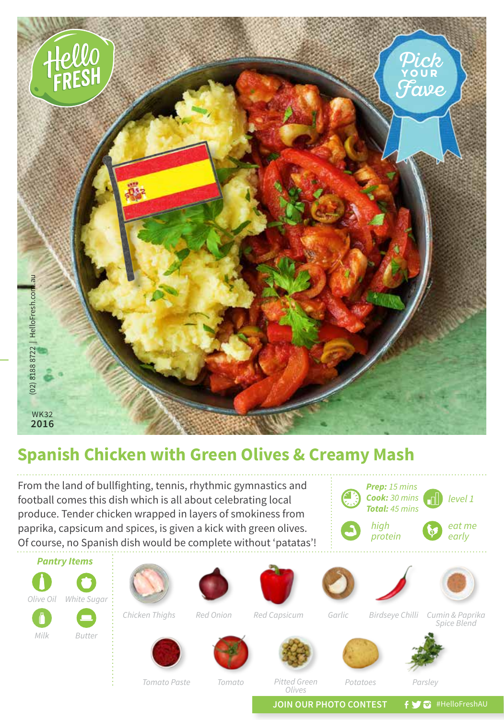

## **Spanish Chicken with Green Olives & Creamy Mash**

From the land of bullfighting, tennis, rhythmic gymnastics and football comes this dish which is all about celebrating local produce. Tender chicken wrapped in layers of smokiness from paprika, capsicum and spices, is given a kick with green olives. Of course, no Spanish dish would be complete without 'patatas'!





*Milk Butter*











*Potatoes*





*Chicken Thighs*

*Red Onion*

*Red Capsicum*

*Garlic*

*Birdseye Chilli*

*Cumin & Paprika Spice Blend*

*Tomato Paste*

*Tomato*

*Pitted Green Olives*

*Parsley*

**JOIN OUR PHOTO CONTEST**  $f \blacktriangleright \bigtriangledown$  #HelloFreshAU